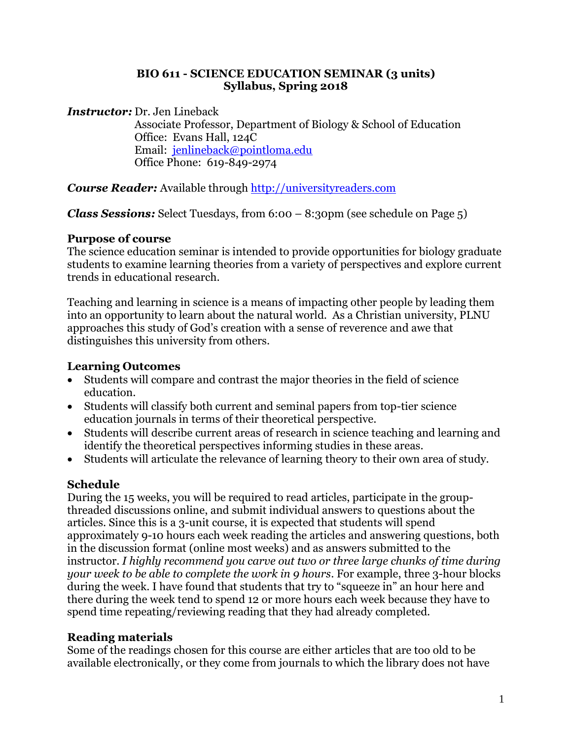#### **BIO 611 - SCIENCE EDUCATION SEMINAR (3 units) Syllabus, Spring 2018**

*Instructor:* Dr. Jen Lineback

Associate Professor, Department of Biology & School of Education Office: Evans Hall, 124C Email: [jenlineback@pointloma.edu](mailto:jenlineback@pointloma.edu) Office Phone: 619-849-2974

*Course Reader:* Available through [http://universityreaders.com](http://universityreaders.com/)

*Class Sessions:* Select Tuesdays, from 6:00 – 8:30pm (see schedule on Page 5)

# **Purpose of course**

The science education seminar is intended to provide opportunities for biology graduate students to examine learning theories from a variety of perspectives and explore current trends in educational research.

Teaching and learning in science is a means of impacting other people by leading them into an opportunity to learn about the natural world. As a Christian university, PLNU approaches this study of God's creation with a sense of reverence and awe that distinguishes this university from others.

# **Learning Outcomes**

- Students will compare and contrast the major theories in the field of science education.
- Students will classify both current and seminal papers from top-tier science education journals in terms of their theoretical perspective.
- Students will describe current areas of research in science teaching and learning and identify the theoretical perspectives informing studies in these areas.
- Students will articulate the relevance of learning theory to their own area of study.

# **Schedule**

During the 15 weeks, you will be required to read articles, participate in the groupthreaded discussions online, and submit individual answers to questions about the articles. Since this is a 3-unit course, it is expected that students will spend approximately 9-10 hours each week reading the articles and answering questions, both in the discussion format (online most weeks) and as answers submitted to the instructor. *I highly recommend you carve out two or three large chunks of time during your week to be able to complete the work in 9 hours*. For example, three 3-hour blocks during the week. I have found that students that try to "squeeze in" an hour here and there during the week tend to spend 12 or more hours each week because they have to spend time repeating/reviewing reading that they had already completed.

# **Reading materials**

Some of the readings chosen for this course are either articles that are too old to be available electronically, or they come from journals to which the library does not have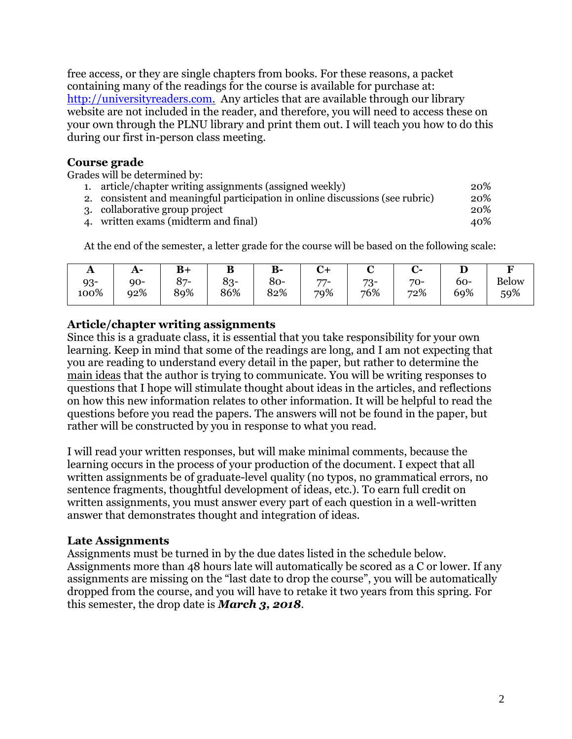free access, or they are single chapters from books. For these reasons, a packet containing many of the readings for the course is available for purchase at: [http://universityreaders.com.](http://universityreaders.com/) Any articles that are available through our library website are not included in the reader, and therefore, you will need to access these on your own through the PLNU library and print them out. I will teach you how to do this during our first in-person class meeting.

### **Course grade**

Grades will be determined by:

| 1. article/chapter writing assignments (assigned weekly)                      | 20% |
|-------------------------------------------------------------------------------|-----|
| 2. consistent and meaningful participation in online discussions (see rubric) | 20% |
| 3. collaborative group project                                                | 20% |
| 4. written exams (midterm and final)                                          | 40% |

At the end of the semester, a letter grade for the course will be based on the following scale:

| A      | $A-$  | $\mathbf{B}$ | D      | $B-$ | ⊣ت  |       |     |       |              |
|--------|-------|--------------|--------|------|-----|-------|-----|-------|--------------|
| $93 -$ | $90-$ | $87 -$       | $83 -$ | 80-  | 77- | $73-$ | 70- | $60-$ | <b>Below</b> |
| 100%   | 92%   | 89%          | 86%    | 82%  | 79% | 76%   | 72% | 69%   | 59%          |

#### **Article/chapter writing assignments**

Since this is a graduate class, it is essential that you take responsibility for your own learning. Keep in mind that some of the readings are long, and I am not expecting that you are reading to understand every detail in the paper, but rather to determine the main ideas that the author is trying to communicate. You will be writing responses to questions that I hope will stimulate thought about ideas in the articles, and reflections on how this new information relates to other information. It will be helpful to read the questions before you read the papers. The answers will not be found in the paper, but rather will be constructed by you in response to what you read.

I will read your written responses, but will make minimal comments, because the learning occurs in the process of your production of the document. I expect that all written assignments be of graduate-level quality (no typos, no grammatical errors, no sentence fragments, thoughtful development of ideas, etc.). To earn full credit on written assignments, you must answer every part of each question in a well-written answer that demonstrates thought and integration of ideas.

### **Late Assignments**

Assignments must be turned in by the due dates listed in the schedule below. Assignments more than 48 hours late will automatically be scored as a C or lower. If any assignments are missing on the "last date to drop the course", you will be automatically dropped from the course, and you will have to retake it two years from this spring. For this semester, the drop date is *March 3, 2018*.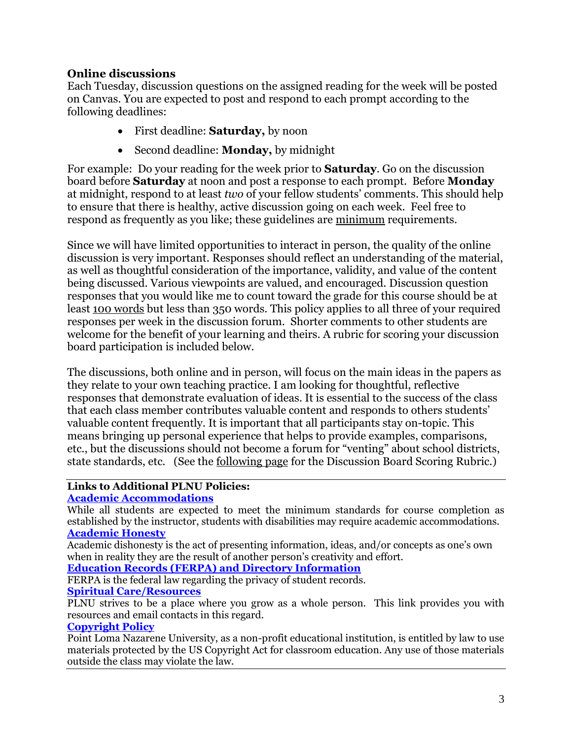### **Online discussions**

Each Tuesday, discussion questions on the assigned reading for the week will be posted on Canvas. You are expected to post and respond to each prompt according to the following deadlines:

- First deadline: **Saturday,** by noon
- Second deadline: **Monday,** by midnight

For example: Do your reading for the week prior to **Saturday**. Go on the discussion board before **Saturday** at noon and post a response to each prompt. Before **Monday** at midnight, respond to at least *two* of your fellow students' comments. This should help to ensure that there is healthy, active discussion going on each week. Feel free to respond as frequently as you like; these guidelines are minimum requirements.

Since we will have limited opportunities to interact in person, the quality of the online discussion is very important. Responses should reflect an understanding of the material, as well as thoughtful consideration of the importance, validity, and value of the content being discussed. Various viewpoints are valued, and encouraged. Discussion question responses that you would like me to count toward the grade for this course should be at least 100 words but less than 350 words. This policy applies to all three of your required responses per week in the discussion forum. Shorter comments to other students are welcome for the benefit of your learning and theirs. A rubric for scoring your discussion board participation is included below.

The discussions, both online and in person, will focus on the main ideas in the papers as they relate to your own teaching practice. I am looking for thoughtful, reflective responses that demonstrate evaluation of ideas. It is essential to the success of the class that each class member contributes valuable content and responds to others students' valuable content frequently. It is important that all participants stay on-topic. This means bringing up personal experience that helps to provide examples, comparisons, etc., but the discussions should not become a forum for "venting" about school districts, state standards, etc. (See the <u>following page</u> for the Discussion Board Scoring Rubric.)

#### **Links to Additional PLNU Policies:**

#### **[Academic Accommodations](https://catalog.pointloma.edu/content.php?catoid=32&navoid=1965)**

While all students are expected to meet the minimum standards for course completion as established by the instructor, students with disabilities may require academic accommodations. **[Academic Honesty](https://catalog.pointloma.edu/content.php?catoid=32&navoid=1965)**

Academic dishonesty is the act of presenting information, ideas, and/or concepts as one's own when in reality they are the result of another person's creativity and effort.

#### **[Education Records \(FERPA\) and Directory Information](https://catalog.pointloma.edu/content.php?catoid=32&navoid=1965)**

FERPA is the federal law regarding the privacy of student records. **[Spiritual Care/Resources](https://www.pointloma.edu/offices/spiritual-development)**

PLNU strives to be a place where you grow as a whole person. This link provides you with resources and email contacts in this regard.

#### **[Copyright Policy](http://libguides.pointloma.edu/c.php?g=648534&p=4548713)**

Point Loma Nazarene University, as a non-profit educational institution, is entitled by law to use materials protected by the US Copyright Act for classroom education. Any use of those materials outside the class may violate the law.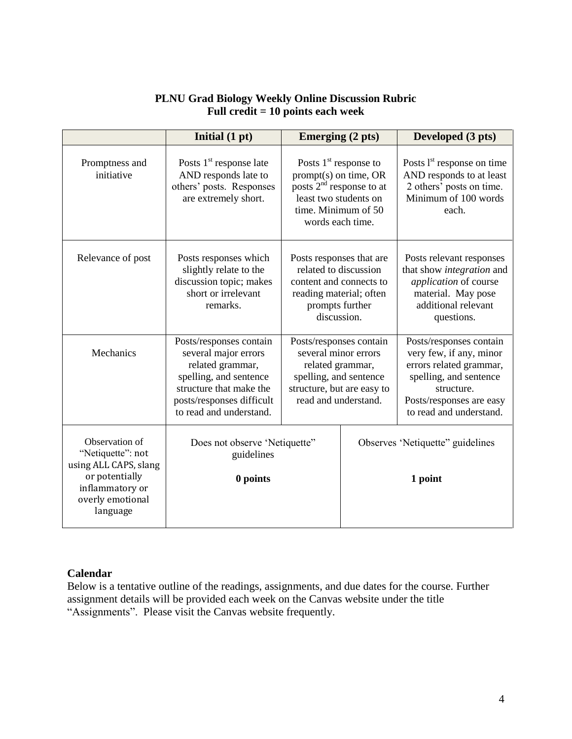#### **PLNU Grad Biology Weekly Online Discussion Rubric Full credit = 10 points each week**

|                                                                                                                                   | Initial (1 pt)                                                                                                                                                                                                                                                | <b>Emerging (2 pts)</b>                                                                                                                             |                                              | Developed (3 pts)                                                                                                                                                            |  |
|-----------------------------------------------------------------------------------------------------------------------------------|---------------------------------------------------------------------------------------------------------------------------------------------------------------------------------------------------------------------------------------------------------------|-----------------------------------------------------------------------------------------------------------------------------------------------------|----------------------------------------------|------------------------------------------------------------------------------------------------------------------------------------------------------------------------------|--|
| Promptness and<br>initiative                                                                                                      | Posts $1st$ response late<br>Posts $1st$ response to<br>AND responds late to<br>$prompt(s)$ on time, OR<br>posts $2nd$ response to at<br>others' posts. Responses<br>are extremely short.<br>least two students on<br>time. Minimum of 50<br>words each time. |                                                                                                                                                     |                                              | Posts $1st$ response on time<br>AND responds to at least<br>2 others' posts on time.<br>Minimum of 100 words<br>each.                                                        |  |
| Relevance of post                                                                                                                 | Posts responses that are<br>Posts responses which<br>slightly relate to the<br>related to discussion<br>discussion topic; makes<br>content and connects to<br>short or irrelevant<br>reading material; often<br>remarks.<br>prompts further<br>discussion.    |                                                                                                                                                     |                                              | Posts relevant responses<br>that show <i>integration</i> and<br>application of course<br>material. May pose<br>additional relevant<br>questions.                             |  |
| Mechanics                                                                                                                         | Posts/responses contain<br>several major errors<br>related grammar,<br>spelling, and sentence<br>structure that make the<br>posts/responses difficult<br>to read and understand.                                                                              | Posts/responses contain<br>several minor errors<br>related grammar,<br>spelling, and sentence<br>structure, but are easy to<br>read and understand. |                                              | Posts/responses contain<br>very few, if any, minor<br>errors related grammar,<br>spelling, and sentence<br>structure.<br>Posts/responses are easy<br>to read and understand. |  |
| Observation of<br>"Netiquette": not<br>using ALL CAPS, slang<br>or potentially<br>inflammatory or<br>overly emotional<br>language | Does not observe 'Netiquette''<br>guidelines<br>0 points                                                                                                                                                                                                      |                                                                                                                                                     | Observes 'Netiquette'' guidelines<br>1 point |                                                                                                                                                                              |  |

#### **Calendar**

Below is a tentative outline of the readings, assignments, and due dates for the course. Further assignment details will be provided each week on the Canvas website under the title "Assignments". Please visit the Canvas website frequently.